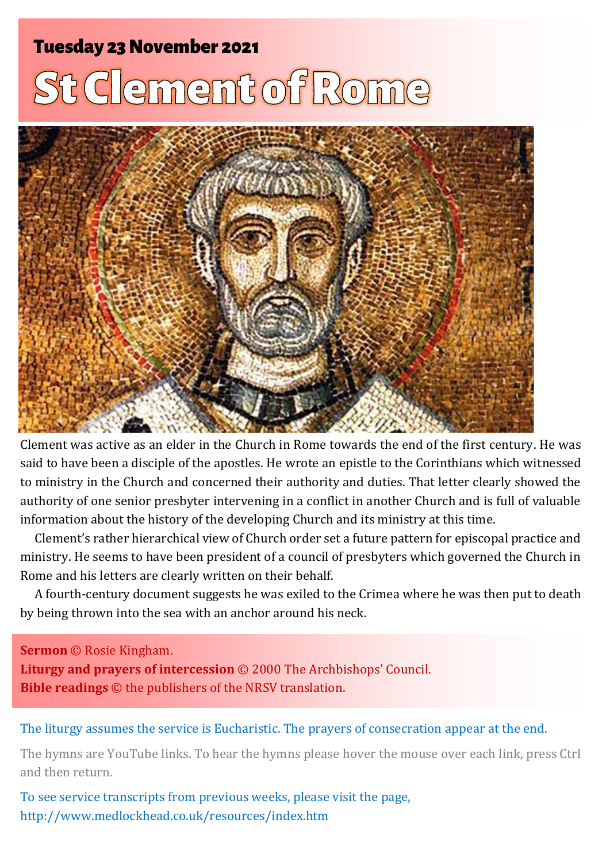## **Tuesday 23 November 2021**

# St Clement of Rome



Clement was active as an elder in the Church in Rome towards the end of the first century. He was said to have been a disciple of the apostles. He wrote an epistle to the Corinthians which witnessed to ministry in the Church and concerned their authority and duties. That letter clearly showed the authority of one senior presbyter intervening in a conflict in another Church and is full of valuable information about the history of the developing Church and its ministry at this time.

Clement's rather hierarchical view of Church order set a future pattern for episcopal practice and ministry. He seems to have been president of a council of presbyters which governed the Church in Rome and his letters are clearly written on their behalf.

A fourth-century document suggests he was exiled to the Crimea where he was then put to death by being thrown into the sea with an anchor around his neck.

**Sermon** © Rosie Kingham. **Liturgy and prayers of intercession** © 2000 The Archbishops' Council. **Bible readings** © the publishers of the NRSV translation.

#### The liturgy assumes the service is Eucharistic. The prayers of consecration appear at the end.

The hymns are YouTube links. To hear the hymns please hover the mouse over each link, press Ctrl and then return.

To see service transcripts from previous weeks, please visit the page, <http://www.medlockhead.co.uk/resources/index.htm>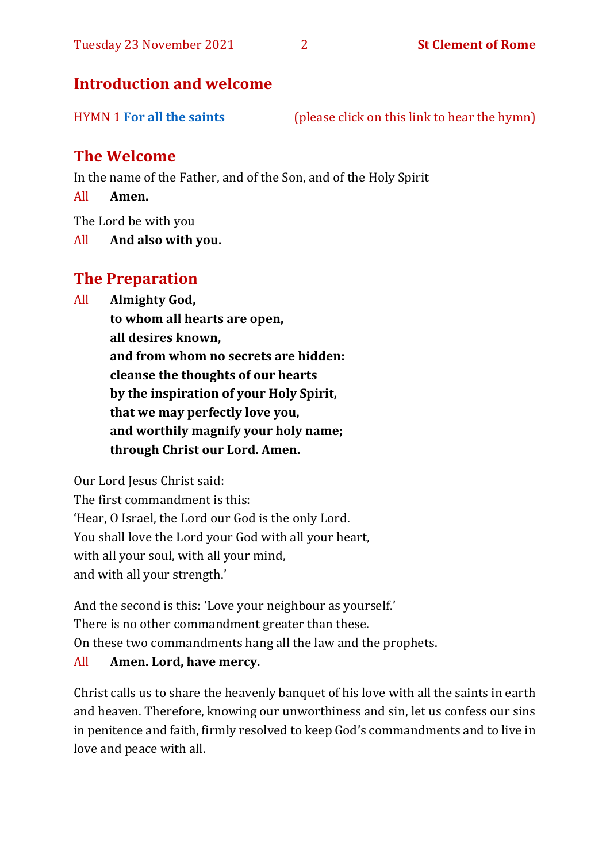#### **Introduction and welcome**

#### **The Welcome**

In the name of the Father, and of the Son, and of the Holy Spirit

All **Amen.**

The Lord be with you

All **And also with you.**

### **The Preparation**

All **Almighty God,**

**to whom all hearts are open, all desires known, and from whom no secrets are hidden: cleanse the thoughts of our hearts by the inspiration of your Holy Spirit, that we may perfectly love you, and worthily magnify your holy name; through Christ our Lord. Amen.**

Our Lord Jesus Christ said:

The first commandment is this: 'Hear, O Israel, the Lord our God is the only Lord. You shall love the Lord your God with all your heart, with all your soul, with all your mind, and with all your strength.'

And the second is this: 'Love your neighbour as yourself.' There is no other commandment greater than these. On these two commandments hang all the law and the prophets.

#### All **Amen. Lord, have mercy.**

Christ calls us to share the heavenly banquet of his love with all the saints in earth and heaven. Therefore, knowing our unworthiness and sin, let us confess our sins in penitence and faith, firmly resolved to keep God's commandments and to live in love and peace with all.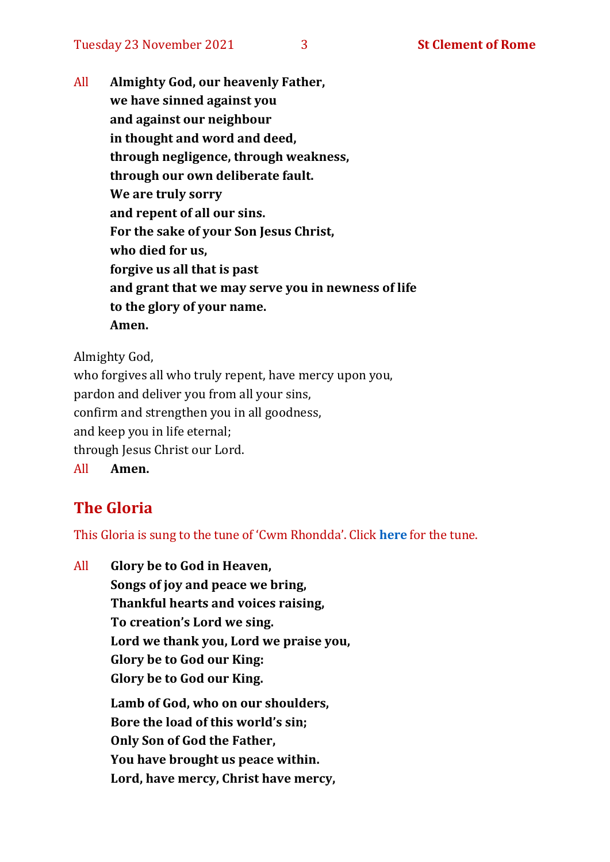All **Almighty God, our heavenly Father, we have sinned against you and against our neighbour in thought and word and deed, through negligence, through weakness, through our own deliberate fault. We are truly sorry and repent of all our sins. For the sake of your Son Jesus Christ, who died for us, forgive us all that is past and grant that we may serve you in newness of life to the glory of your name. Amen.**

Almighty God,

who forgives all who truly repent, have mercy upon you, pardon and deliver you from all your sins, confirm and strengthen you in all goodness, and keep you in life eternal; through Jesus Christ our Lord. All **Amen.**

#### **The Gloria**

This Gloria is sung to the tune of 'Cwm Rhondda'. Click **[here](https://www.youtube.com/watch?v=l71MLQ22dIk)** for the tune.

All **Glory be to God in Heaven, Songs of joy and peace we bring, Thankful hearts and voices raising, To creation's Lord we sing. Lord we thank you, Lord we praise you, Glory be to God our King: Glory be to God our King. Lamb of God, who on our shoulders, Bore the load of this world's sin; Only Son of God the Father, You have brought us peace within. Lord, have mercy, Christ have mercy,**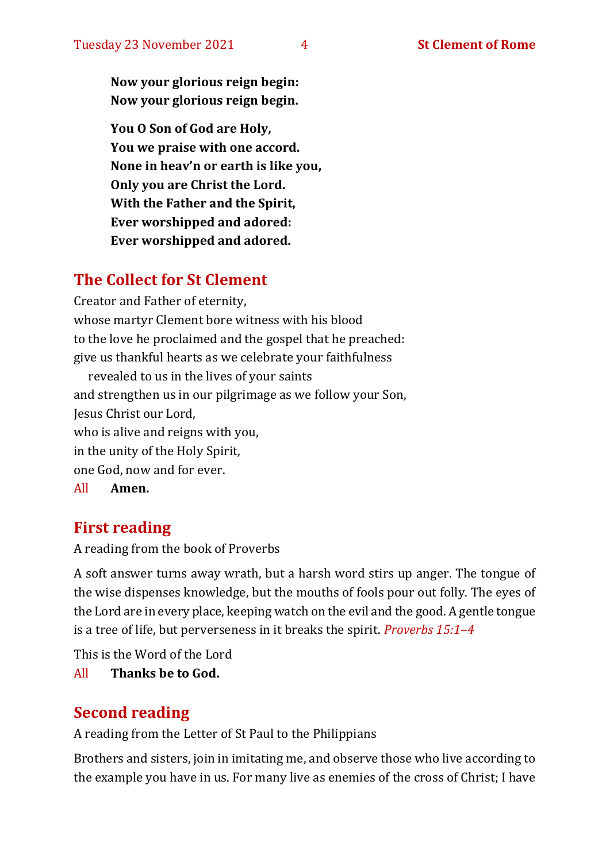**Now your glorious reign begin: Now your glorious reign begin.**

**You O Son of God are Holy, You we praise with one accord. None in heav'n or earth is like you, Only you are Christ the Lord. With the Father and the Spirit, Ever worshipped and adored: Ever worshipped and adored.**

#### **The Collect for St Clement**

Creator and Father of eternity, whose martyr Clement bore witness with his blood to the love he proclaimed and the gospel that he preached: give us thankful hearts as we celebrate your faithfulness revealed to us in the lives of your saints and strengthen us in our pilgrimage as we follow your Son, Jesus Christ our Lord, who is alive and reigns with you, in the unity of the Holy Spirit, one God, now and for ever. All **Amen.**

#### **First reading**

A reading from the book of Proverbs

A soft answer turns away wrath, but a harsh word stirs up anger. The tongue of the wise dispenses knowledge, but the mouths of fools pour out folly. The eyes of the Lord are in every place, keeping watch on the evil and the good. A gentle tongue is a tree of life, but perverseness in it breaks the spirit. *Proverbs 15:1–4* 

This is the Word of the Lord

All **Thanks be to God.**

### **Second reading**

A reading from the Letter of St Paul to the Philippians

Brothers and sisters, join in imitating me, and observe those who live according to the example you have in us. For many live as enemies of the cross of Christ; I have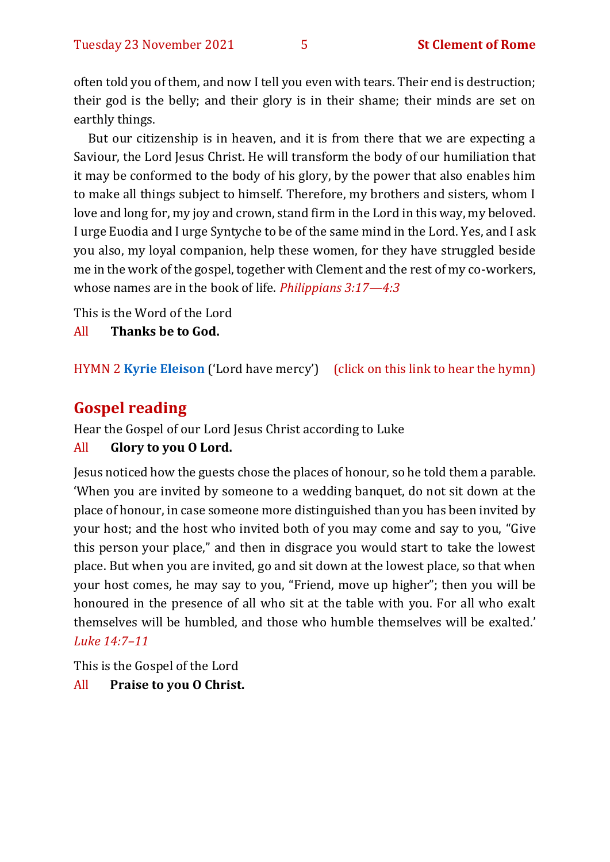often told you of them, and now I tell you even with tears. Their end is destruction; their god is the belly; and their glory is in their shame; their minds are set on earthly things.

But our citizenship is in heaven, and it is from there that we are expecting a Saviour, the Lord Jesus Christ. He will transform the body of our humiliation that it may be conformed to the body of his glory, by the power that also enables him to make all things subject to himself. Therefore, my brothers and sisters, whom I love and long for, my joy and crown, stand firm in the Lord in this way, my beloved. I urge Euodia and I urge Syntyche to be of the same mind in the Lord. Yes, and I ask you also, my loyal companion, help these women, for they have struggled beside me in the work of the gospel, together with Clement and the rest of my co-workers, whose names are in the book of life. *Philippians 3:17—4:3* 

This is the Word of the Lord

All **Thanks be to God.**

HYMN 2 **[Kyrie Eleison](https://www.youtube.com/watch?v=eeG-2o0dvtk)** ('Lord have mercy') (click on this link to hear the hymn)

#### **Gospel reading**

Hear the Gospel of our Lord Jesus Christ according to Luke

#### All **Glory to you O Lord.**

Jesus noticed how the guests chose the places of honour, so he told them a parable. 'When you are invited by someone to a wedding banquet, do not sit down at the place of honour, in case someone more distinguished than you has been invited by your host; and the host who invited both of you may come and say to you, "Give this person your place," and then in disgrace you would start to take the lowest place. But when you are invited, go and sit down at the lowest place, so that when your host comes, he may say to you, "Friend, move up higher"; then you will be honoured in the presence of all who sit at the table with you. For all who exalt themselves will be humbled, and those who humble themselves will be exalted.' *Luke 14:7–11*

This is the Gospel of the Lord

#### All **Praise to you O Christ.**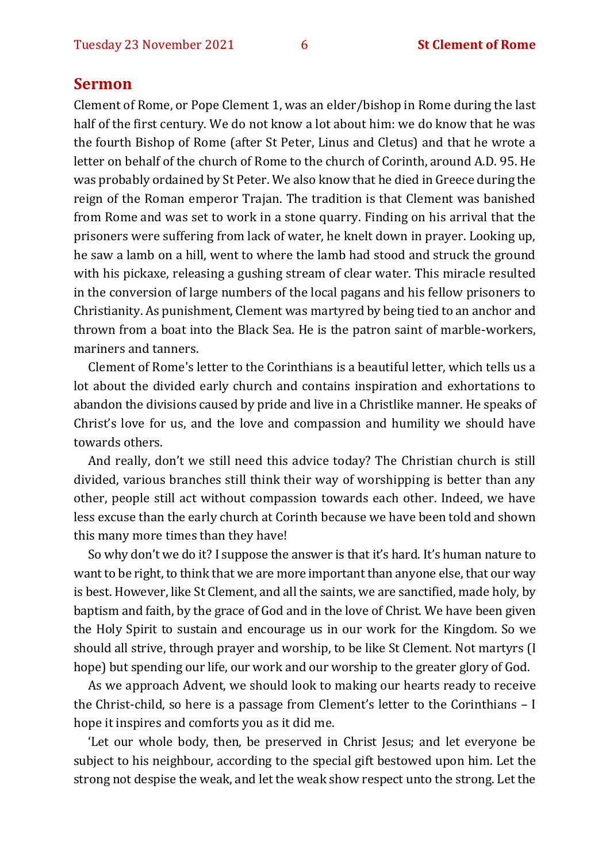#### **Sermon**

Clement of Rome, or Pope Clement 1, was an elder/bishop in Rome during the last half of the first century. We do not know a lot about him: we do know that he was the fourth Bishop of Rome (after St Peter, Linus and Cletus) and that he wrote a letter on behalf of the church of Rome to the church of Corinth, around A.D. 95. He was probably ordained by St Peter. We also know that he died in Greece during the reign of the Roman emperor Trajan. The tradition is that Clement was banished from Rome and was set to work in a stone quarry. Finding on his arrival that the prisoners were suffering from lack of water, he knelt down in prayer. Looking up, he saw a lamb on a hill, went to where the lamb had stood and struck the ground with his pickaxe, releasing a gushing stream of clear water. This miracle resulted in the conversion of large numbers of the local pagans and his fellow prisoners to Christianity. As punishment, Clement was martyred by being tied to an anchor and thrown from a boat into the Black Sea. He is the patron saint of marble-workers, mariners and tanners.

Clement of Rome's letter to the Corinthians is a beautiful letter, which tells us a lot about the divided early church and contains inspiration and exhortations to abandon the divisions caused by pride and live in a Christlike manner. He speaks of Christ's love for us, and the love and compassion and humility we should have towards others.

And really, don't we still need this advice today? The Christian church is still divided, various branches still think their way of worshipping is better than any other, people still act without compassion towards each other. Indeed, we have less excuse than the early church at Corinth because we have been told and shown this many more times than they have!

So why don't we do it? I suppose the answer is that it's hard. It's human nature to want to be right, to think that we are more important than anyone else, that our way is best. However, like St Clement, and all the saints, we are sanctified, made holy, by baptism and faith, by the grace of God and in the love of Christ. We have been given the Holy Spirit to sustain and encourage us in our work for the Kingdom. So we should all strive, through prayer and worship, to be like St Clement. Not martyrs (I hope) but spending our life, our work and our worship to the greater glory of God.

As we approach Advent, we should look to making our hearts ready to receive the Christ-child, so here is a passage from Clement's letter to the Corinthians – I hope it inspires and comforts you as it did me.

'Let our whole body, then, be preserved in Christ Jesus; and let everyone be subject to his neighbour, according to the special gift bestowed upon him. Let the strong not despise the weak, and let the weak show respect unto the strong. Let the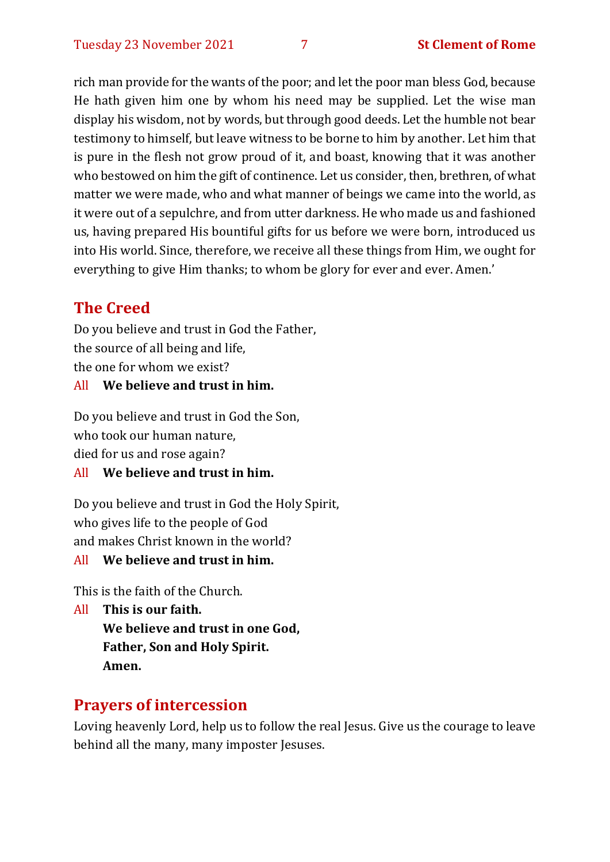rich man provide for the wants of the poor; and let the poor man bless God, because He hath given him one by whom his need may be supplied. Let the wise man display his wisdom, not by words, but through good deeds. Let the humble not bear testimony to himself, but leave witness to be borne to him by another. Let him that is pure in the flesh not grow proud of it, and boast, knowing that it was another who bestowed on him the gift of continence. Let us consider, then, brethren, of what matter we were made, who and what manner of beings we came into the world, as it were out of a sepulchre, and from utter darkness. He who made us and fashioned us, having prepared His bountiful gifts for us before we were born, introduced us into His world. Since, therefore, we receive all these things from Him, we ought for everything to give Him thanks; to whom be glory for ever and ever. Amen.'

#### **The Creed**

Do you believe and trust in God the Father, the source of all being and life, the one for whom we exist?

#### All **We believe and trust in him.**

Do you believe and trust in God the Son, who took our human nature, died for us and rose again?

#### All **We believe and trust in him.**

Do you believe and trust in God the Holy Spirit, who gives life to the people of God and makes Christ known in the world?

#### All **We believe and trust in him.**

This is the faith of the Church.

All **This is our faith. We believe and trust in one God, Father, Son and Holy Spirit. Amen.**

#### **Prayers of intercession**

Loving heavenly Lord, help us to follow the real Jesus. Give us the courage to leave behind all the many, many imposter Jesuses.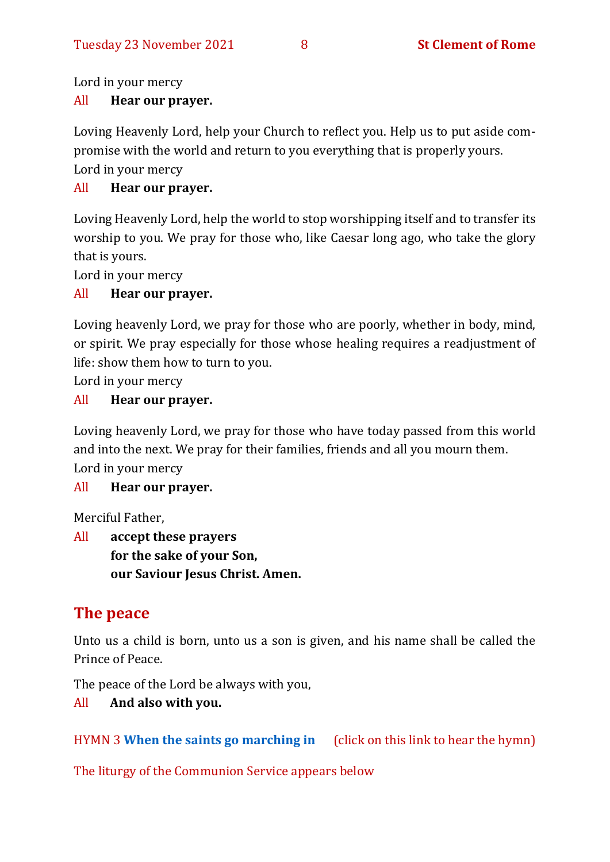Lord in your mercy

#### All **Hear our prayer.**

Loving Heavenly Lord, help your Church to reflect you. Help us to put aside compromise with the world and return to you everything that is properly yours. Lord in your mercy

#### All **Hear our prayer.**

Loving Heavenly Lord, help the world to stop worshipping itself and to transfer its worship to you. We pray for those who, like Caesar long ago, who take the glory that is yours.

Lord in your mercy

#### All **Hear our prayer.**

Loving heavenly Lord, we pray for those who are poorly, whether in body, mind, or spirit. We pray especially for those whose healing requires a readjustment of life: show them how to turn to you.

Lord in your mercy

#### All **Hear our prayer.**

Loving heavenly Lord, we pray for those who have today passed from this world and into the next. We pray for their families, friends and all you mourn them. Lord in your mercy

#### All **Hear our prayer.**

Merciful Father,

All **accept these prayers for the sake of your Son, our Saviour Jesus Christ. Amen.**

#### **The peace**

Unto us a child is born, unto us a son is given, and his name shall be called the Prince of Peace.

The peace of the Lord be always with you,

#### All **And also with you.**

HYMN 3 **[When the saints go marching in](https://www.youtube.com/watch?v=advlnJPEbEw)** (click on this link to hear the hymn)

The liturgy of the Communion Service appears below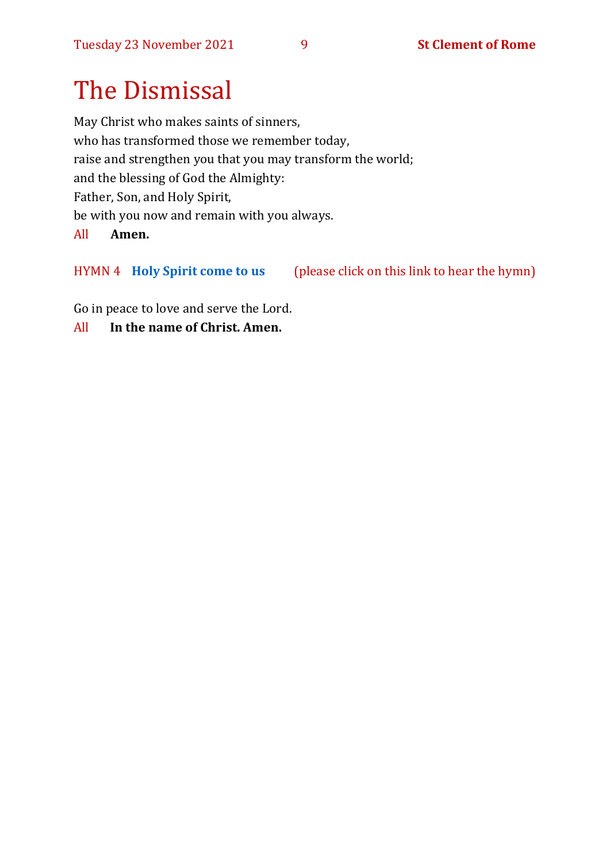# The Dismissal

May Christ who makes saints of sinners, who has transformed those we remember today, raise and strengthen you that you may transform the world; and the blessing of God the Almighty: Father, Son, and Holy Spirit, be with you now and remain with you always.

#### All **Amen.**

HYMN 4 **[Holy Spirit come to us](https://www.youtube.com/watch?v=zasyz-tJkOg)** (please click on this link to hear the hymn)

Go in peace to love and serve the Lord.

All **In the name of Christ. Amen.**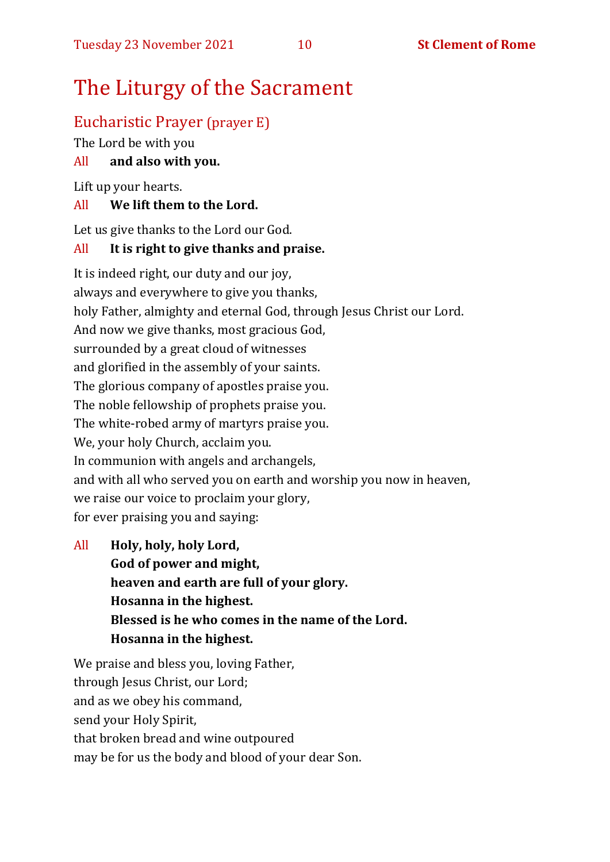## The Liturgy of the Sacrament

#### Eucharistic Prayer (prayer E)

The Lord be with you

#### All **and also with you.**

Lift up your hearts.

#### All **We lift them to the Lord.**

Let us give thanks to the Lord our God.

#### All **It is right to give thanks and praise.**

It is indeed right, our duty and our joy, always and everywhere to give you thanks, holy Father, almighty and eternal God, through Jesus Christ our Lord. And now we give thanks, most gracious God, surrounded by a great cloud of witnesses and glorified in the assembly of your saints. The glorious company of apostles praise you. The noble fellowship of prophets praise you. The white-robed army of martyrs praise you. We, your holy Church, acclaim you. In communion with angels and archangels, and with all who served you on earth and worship you now in heaven, we raise our voice to proclaim your glory, for ever praising you and saying:

All **Holy, holy, holy Lord, God of power and might, heaven and earth are full of your glory. Hosanna in the highest. Blessed is he who comes in the name of the Lord. Hosanna in the highest.**

We praise and bless you, loving Father, through Jesus Christ, our Lord; and as we obey his command, send your Holy Spirit, that broken bread and wine outpoured may be for us the body and blood of your dear Son.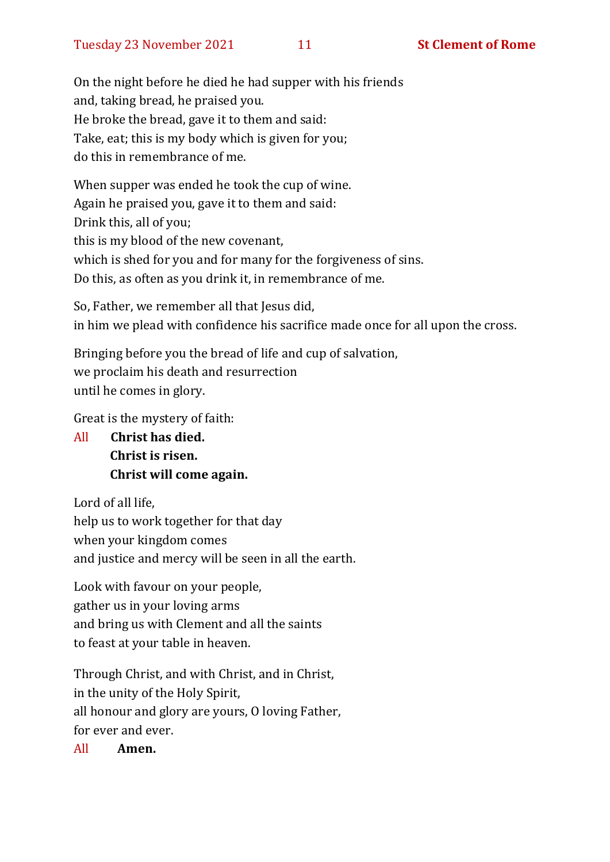On the night before he died he had supper with his friends and, taking bread, he praised you. He broke the bread, gave it to them and said: Take, eat; this is my body which is given for you; do this in remembrance of me.

When supper was ended he took the cup of wine. Again he praised you, gave it to them and said: Drink this, all of you; this is my blood of the new covenant, which is shed for you and for many for the forgiveness of sins. Do this, as often as you drink it, in remembrance of me.

So, Father, we remember all that Jesus did, in him we plead with confidence his sacrifice made once for all upon the cross.

Bringing before you the bread of life and cup of salvation, we proclaim his death and resurrection until he comes in glory.

Great is the mystery of faith:

All **Christ has died. Christ is risen. Christ will come again.**

Lord of all life, help us to work together for that day when your kingdom comes and justice and mercy will be seen in all the earth.

Look with favour on your people, gather us in your loving arms and bring us with Clement and all the saints to feast at your table in heaven.

Through Christ, and with Christ, and in Christ, in the unity of the Holy Spirit, all honour and glory are yours, O loving Father, for ever and ever.

All **Amen.**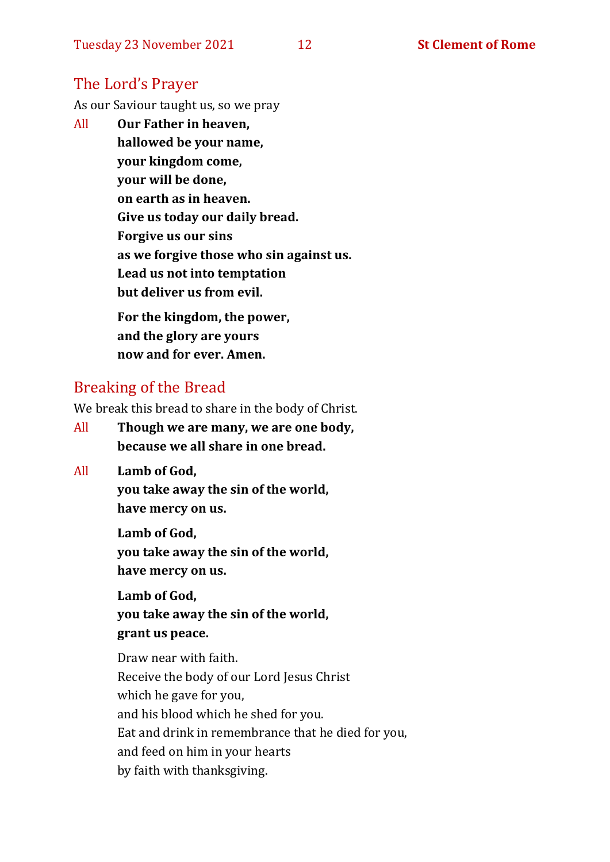#### The Lord's Prayer

As our Saviour taught us, so we pray

All **Our Father in heaven, hallowed be your name, your kingdom come, your will be done, on earth as in heaven. Give us today our daily bread. Forgive us our sins as we forgive those who sin against us. Lead us not into temptation but deliver us from evil. For the kingdom, the power,** 

**and the glory are yours now and for ever. Amen.**

#### Breaking of the Bread

We break this bread to share in the body of Christ.

- All **Though we are many, we are one body, because we all share in one bread.**
- All **Lamb of God,**

**you take away the sin of the world, have mercy on us.**

**Lamb of God, you take away the sin of the world, have mercy on us.**

**Lamb of God, you take away the sin of the world, grant us peace.**

Draw near with faith. Receive the body of our Lord Jesus Christ which he gave for you, and his blood which he shed for you. Eat and drink in remembrance that he died for you, and feed on him in your hearts by faith with thanksgiving.